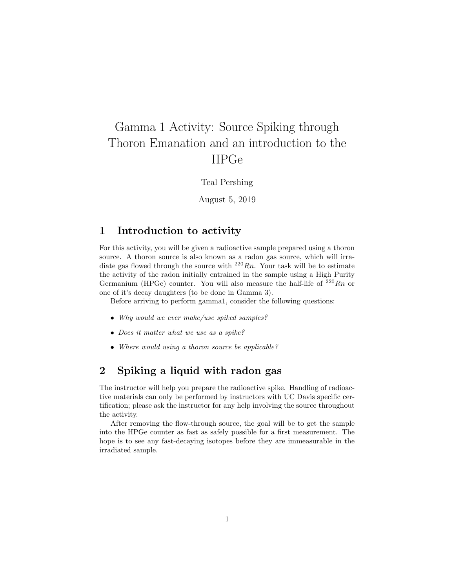# <span id="page-0-0"></span>Gamma 1 Activity: Source Spiking through Thoron Emanation and an introduction to the HPGe

Teal Pershing

August 5, 2019

## 1 Introduction to activity

For this activity, you will be given a radioactive sample prepared using a thoron source. A thoron source is also known as a radon gas source, which will irradiate gas flowed through the source with  $^{220}Rn$ . Your task will be to estimate the activity of the radon initially entrained in the sample using a High Purity Germanium (HPGe) counter. You will also measure the half-life of  $^{220}Rn$  or one of it's decay daughters (to be done in Gamma 3).

Before arriving to perform gamma1, consider the following questions:

- Why would we ever make/use spiked samples?
- Does it matter what we use as a spike?
- Where would using a thoron source be applicable?

# 2 Spiking a liquid with radon gas

The instructor will help you prepare the radioactive spike. Handling of radioactive materials can only be performed by instructors with UC Davis specific certification; please ask the instructor for any help involving the source throughout the activity.

After removing the flow-through source, the goal will be to get the sample into the HPGe counter as fast as safely possible for a first measurement. The hope is to see any fast-decaying isotopes before they are immeasurable in the irradiated sample.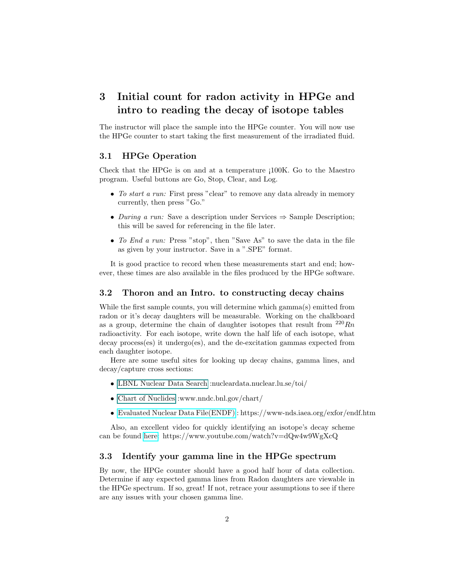# 3 Initial count for radon activity in HPGe and intro to reading the decay of isotope tables

The instructor will place the sample into the HPGe counter. You will now use the HPGe counter to start taking the first measurement of the irradiated fluid.

#### 3.1 HPGe Operation

Check that the HPGe is on and at a temperature ¡100K. Go to the Maestro program. Useful buttons are Go, Stop, Clear, and Log.

- To start a run: First press "clear" to remove any data already in memory currently, then press "Go."
- During a run: Save a description under Services  $\Rightarrow$  Sample Description; this will be saved for referencing in the file later.
- To End a run: Press "stop", then "Save As" to save the data in the file as given by your instructor. Save in a ".SPE" format.

It is good practice to record when these measurements start and end; however, these times are also available in the files produced by the HPGe software.

#### 3.2 Thoron and an Intro. to constructing decay chains

While the first sample counts, you will determine which gamma(s) emitted from radon or it's decay daughters will be measurable. Working on the chalkboard as a group, determine the chain of daughter isotopes that result from  $^{220}Rn$ radioactivity. For each isotope, write down the half life of each isotope, what decay process(es) it undergo(es), and the de-excitation gammas expected from each daughter isotope.

Here are some useful sites for looking up decay chains, gamma lines, and decay/capture cross sections:

- [LBNL Nuclear Data Search](#page-0-0) :nucleardata.nuclear.lu.se/toi/
- [Chart of Nuclides](#page-0-0) :www.nndc.bnl.gov/chart/
- [Evaluated Nuclear Data File\(ENDF\)](https://www-nds.iaea.org/exfor/endf.htm) : https://www-nds.iaea.org/exfor/endf.htm

Also, an excellent video for quickly identifying an isotope's decay scheme can be found [here:](https://www.youtube.com/watch?v=dQw4w9WgXcQ) https://www.youtube.com/watch?v=dQw4w9WgXcQ

#### 3.3 Identify your gamma line in the HPGe spectrum

By now, the HPGe counter should have a good half hour of data collection. Determine if any expected gamma lines from Radon daughters are viewable in the HPGe spectrum. If so, great! If not, retrace your assumptions to see if there are any issues with your chosen gamma line.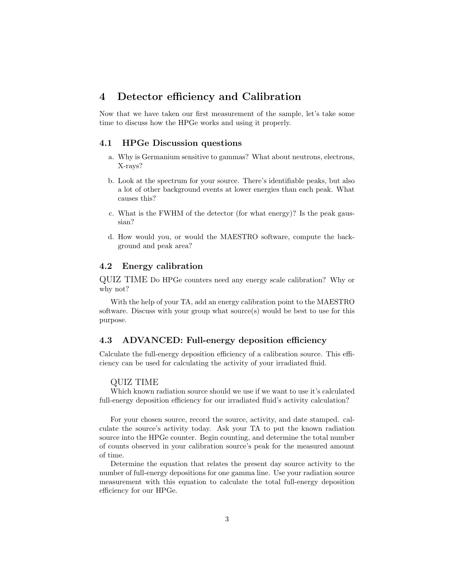### 4 Detector efficiency and Calibration

Now that we have taken our first measurement of the sample, let's take some time to discuss how the HPGe works and using it properly.

#### 4.1 HPGe Discussion questions

- a. Why is Germanium sensitive to gammas? What about neutrons, electrons, X-rays?
- b. Look at the spectrum for your source. There's identifiable peaks, but also a lot of other background events at lower energies than each peak. What causes this?
- c. What is the FWHM of the detector (for what energy)? Is the peak gaussian?
- d. How would you, or would the MAESTRO software, compute the background and peak area?

#### 4.2 Energy calibration

QUIZ TIME Do HPGe counters need any energy scale calibration? Why or why not?

With the help of your TA, add an energy calibration point to the MAESTRO software. Discuss with your group what source(s) would be best to use for this purpose.

#### 4.3 ADVANCED: Full-energy deposition efficiency

Calculate the full-energy deposition efficiency of a calibration source. This efficiency can be used for calculating the activity of your irradiated fluid.

#### QUIZ TIME

Which known radiation source should we use if we want to use it's calculated full-energy deposition efficiency for our irradiated fluid's activity calculation?

For your chosen source, record the source, activity, and date stamped. calculate the source's activity today. Ask your TA to put the known radiation source into the HPGe counter. Begin counting, and determine the total number of counts observed in your calibration source's peak for the measured amount of time.

Determine the equation that relates the present day source activity to the number of full-energy depositions for one gamma line. Use your radiation source measurement with this equation to calculate the total full-energy deposition efficiency for our HPGe.